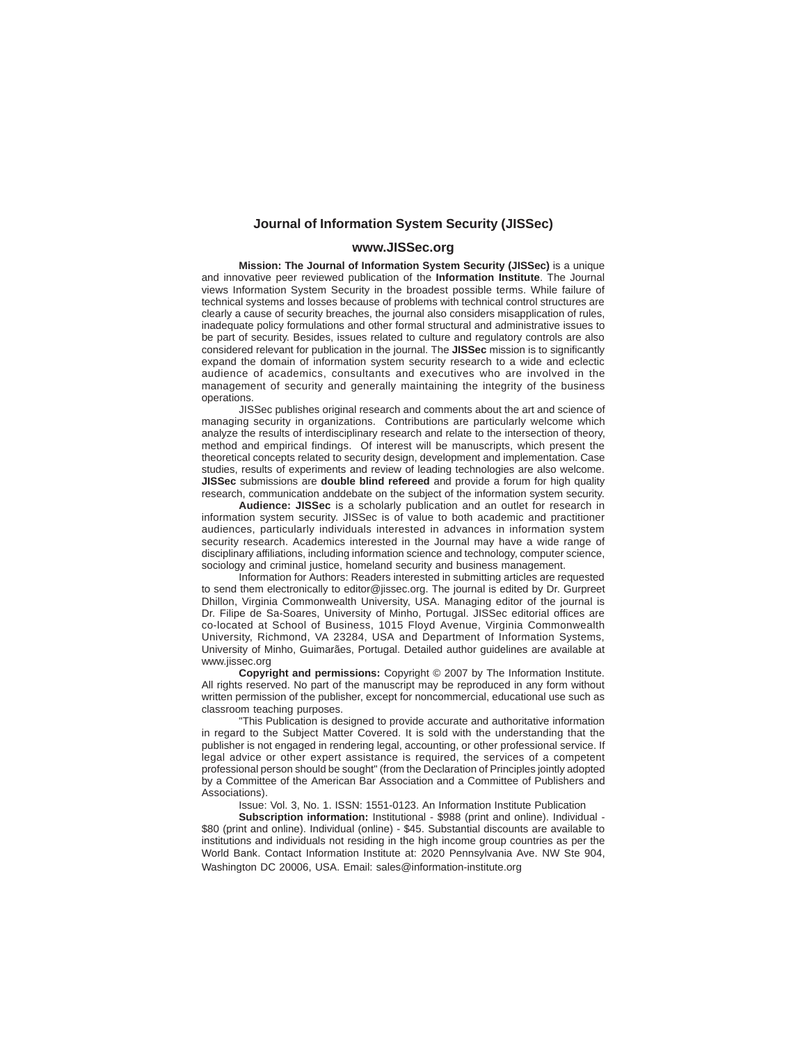#### **Journal of Information System Security (JISSec)**

#### **www.JISSec.org**

**Mission: The Journal of Information System Security (JISSec)** is a unique and innovative peer reviewed publication of the **Information Institute**. The Journal views Information System Security in the broadest possible terms. While failure of technical systems and losses because of problems with technical control structures are clearly a cause of security breaches, the journal also considers misapplication of rules, inadequate policy formulations and other formal structural and administrative issues to be part of security. Besides, issues related to culture and regulatory controls are also considered relevant for publication in the journal. The **JISSec** mission is to significantly expand the domain of information system security research to a wide and eclectic audience of academics, consultants and executives who are involved in the management of security and generally maintaining the integrity of the business operations.

JISSec publishes original research and comments about the art and science of managing security in organizations. Contributions are particularly welcome which analyze the results of interdisciplinary research and relate to the intersection of theory, method and empirical findings. Of interest will be manuscripts, which present the theoretical concepts related to security design, development and implementation. Case studies, results of experiments and review of leading technologies are also welcome. **JISSec** submissions are **double blind refereed** and provide a forum for high quality research, communication anddebate on the subject of the information system security.

**Audience: JISSec** is a scholarly publication and an outlet for research in information system security. JISSec is of value to both academic and practitioner audiences, particularly individuals interested in advances in information system security research. Academics interested in the Journal may have a wide range of disciplinary affiliations, including information science and technology, computer science, sociology and criminal justice, homeland security and business management.

Information for Authors: Readers interested in submitting articles are requested to send them electronically to editor@jissec.org. The journal is edited by Dr. Gurpreet Dhillon, Virginia Commonwealth University, USA. Managing editor of the journal is Dr. Filipe de Sa-Soares, University of Minho, Portugal. JISSec editorial offices are co-located at School of Business, 1015 Floyd Avenue, Virginia Commonwealth University, Richmond, VA 23284, USA and Department of Information Systems, University of Minho, Guimarães, Portugal. Detailed author guidelines are available at www.jissec.org

**Copyright and permissions:** Copyright © 2007 by The Information Institute. All rights reserved. No part of the manuscript may be reproduced in any form without written permission of the publisher, except for noncommercial, educational use such as classroom teaching purposes.

"This Publication is designed to provide accurate and authoritative information in regard to the Subject Matter Covered. It is sold with the understanding that the publisher is not engaged in rendering legal, accounting, or other professional service. If legal advice or other expert assistance is required, the services of a competent professional person should be sought" (from the Declaration of Principles jointly adopted by a Committee of the American Bar Association and a Committee of Publishers and Associations).

Issue: Vol. 3, No. 1. ISSN: 1551-0123. An Information Institute Publication

**Subscription information:** Institutional - \$988 (print and online). Individual -\$80 (print and online). Individual (online) - \$45. Substantial discounts are available to institutions and individuals not residing in the high income group countries as per the World Bank. Contact Information Institute at: 2020 Pennsylvania Ave. NW Ste 904, Washington DC 20006, USA. Email: sales@information-institute.org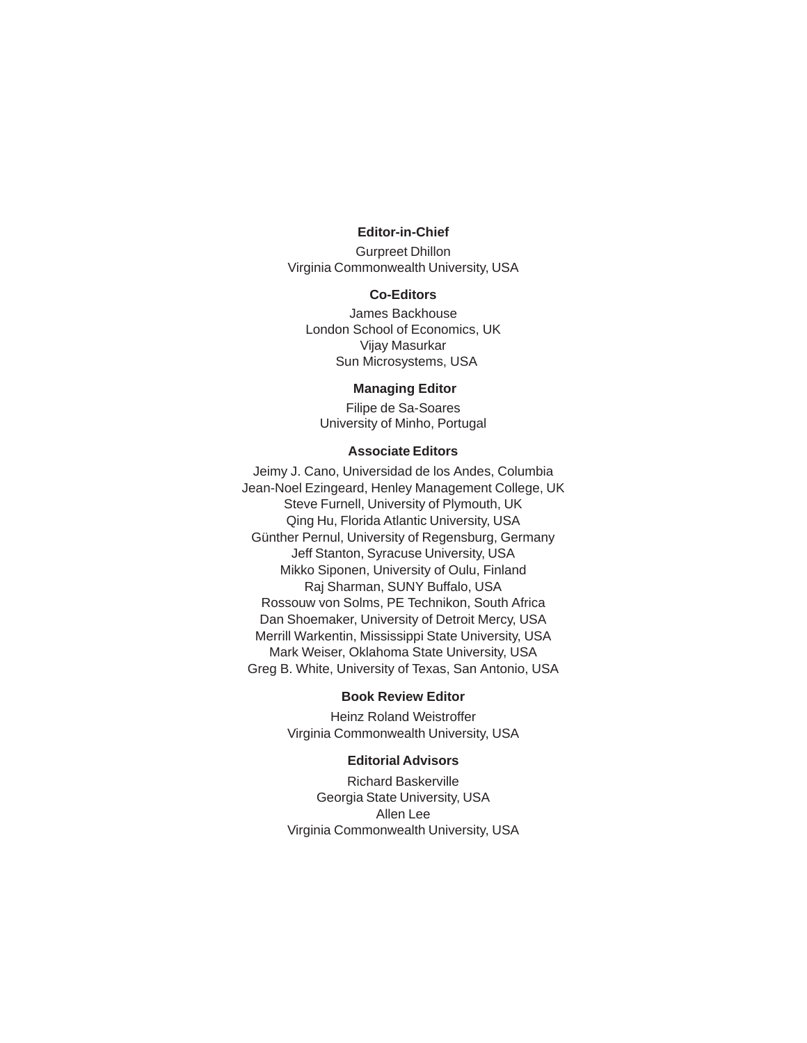### **Editor-in-Chief**

Gurpreet Dhillon Virginia Commonwealth University, USA

#### **Co-Editors**

James Backhouse London School of Economics, UK Vijay Masurkar Sun Microsystems, USA

## **Managing Editor**

Filipe de Sa-Soares University of Minho, Portugal

## **Associate Editors**

Jeimy J. Cano, Universidad de los Andes, Columbia Jean-Noel Ezingeard, Henley Management College, UK Steve Furnell, University of Plymouth, UK Qing Hu, Florida Atlantic University, USA Günther Pernul, University of Regensburg, Germany Jeff Stanton, Syracuse University, USA Mikko Siponen, University of Oulu, Finland Raj Sharman, SUNY Buffalo, USA Rossouw von Solms, PE Technikon, South Africa Dan Shoemaker, University of Detroit Mercy, USA Merrill Warkentin, Mississippi State University, USA Mark Weiser, Oklahoma State University, USA Greg B. White, University of Texas, San Antonio, USA

# **Book Review Editor**

Heinz Roland Weistroffer Virginia Commonwealth University, USA

# **Editorial Advisors**

Richard Baskerville Georgia State University, USA Allen Lee Virginia Commonwealth University, USA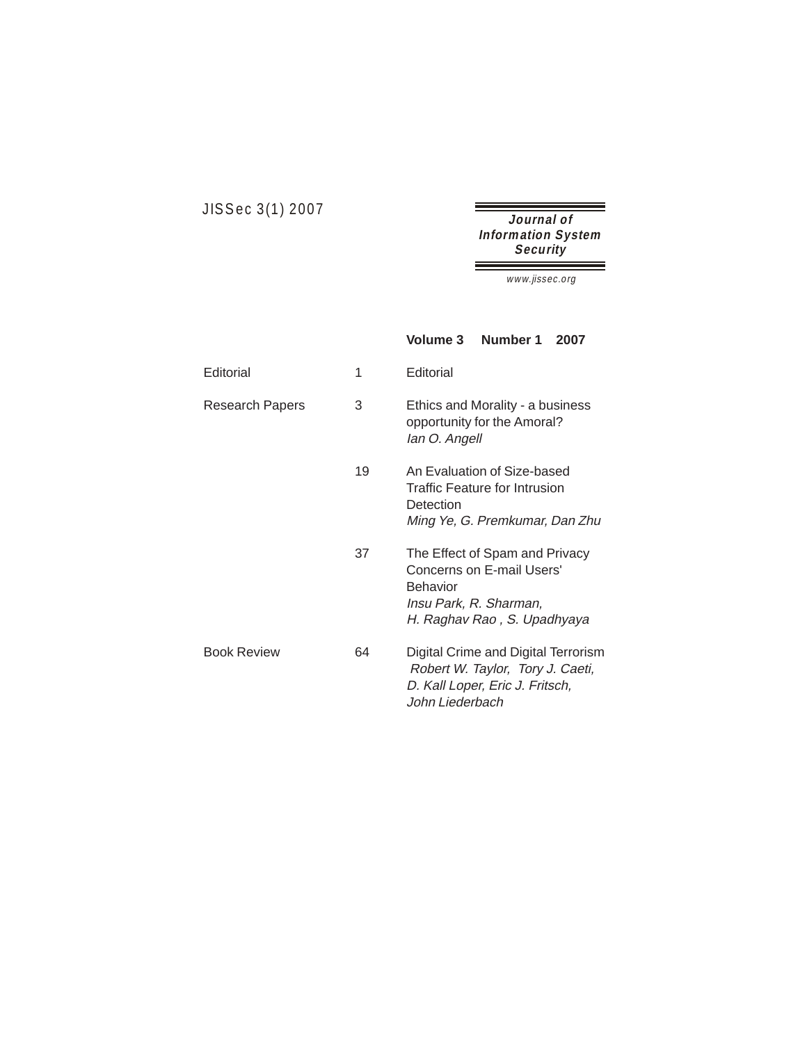JISSec 3(1) 2007

**Journal of Information System Security** 

ñ

Ξ

www.jissec.org

|                        |    | Number 1<br><b>Volume 3</b><br>2007                                                                                                     |
|------------------------|----|-----------------------------------------------------------------------------------------------------------------------------------------|
| Editorial              | 1  | Editorial                                                                                                                               |
| <b>Research Papers</b> | 3  | Ethics and Morality - a business<br>opportunity for the Amoral?<br>lan O. Angell                                                        |
|                        | 19 | An Evaluation of Size-based<br>Traffic Feature for Intrusion<br>Detection<br>Ming Ye, G. Premkumar, Dan Zhu                             |
|                        | 37 | The Effect of Spam and Privacy<br>Concerns on E-mail Users'<br><b>Behavior</b><br>Insu Park, R. Sharman,<br>H. Raghav Rao, S. Upadhyaya |
| <b>Book Review</b>     | 64 | Digital Crime and Digital Terrorism<br>Robert W. Taylor, Tory J. Caeti,<br>D. Kall Loper, Eric J. Fritsch,<br>John Liederbach           |